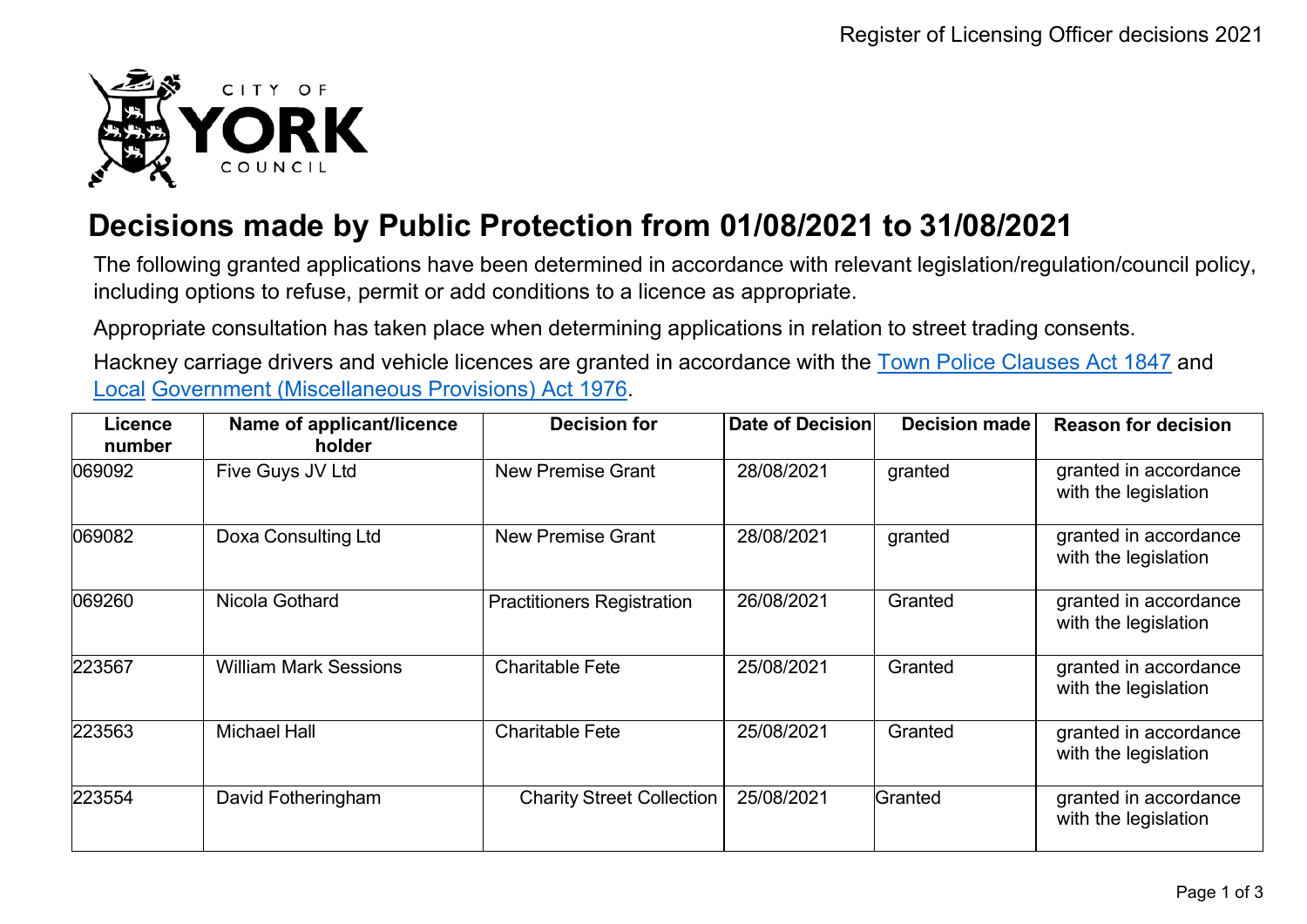

## **Decisions made by Public Protection from 01/08/2021 to 31/08/2021**

The following granted applications have been determined in accordance with relevant legislation/regulation/council policy, including options to refuse, permit or add conditions to a licence as appropriate.

Appropriate consultation has taken place when determining applications in relation to street trading consents.

Hackney carriage drivers and vehicle licences are granted in accordance with the Town Police [Clauses](http://www.legislation.gov.uk/ukpga/Vict/10-11/89) Act 1847 and [Local](http://www.legislation.gov.uk/ukpga/1976/57) [Government \(Miscellaneous Provisions\) Act 1976.](http://www.legislation.gov.uk/ukpga/1976/57)

| <b>Licence</b><br>number | Name of applicant/licence<br>holder | <b>Decision for</b>               | <b>Date of Decision</b> | <b>Decision made</b> | <b>Reason for decision</b>                    |
|--------------------------|-------------------------------------|-----------------------------------|-------------------------|----------------------|-----------------------------------------------|
| 069092                   | Five Guys JV Ltd                    | <b>New Premise Grant</b>          | 28/08/2021              | granted              | granted in accordance<br>with the legislation |
| 069082                   | Doxa Consulting Ltd                 | <b>New Premise Grant</b>          | 28/08/2021              | granted              | granted in accordance<br>with the legislation |
| 069260                   | Nicola Gothard                      | <b>Practitioners Registration</b> | 26/08/2021              | Granted              | granted in accordance<br>with the legislation |
| 223567                   | <b>William Mark Sessions</b>        | <b>Charitable Fete</b>            | 25/08/2021              | Granted              | granted in accordance<br>with the legislation |
| 223563                   | <b>Michael Hall</b>                 | <b>Charitable Fete</b>            | 25/08/2021              | Granted              | granted in accordance<br>with the legislation |
| 223554                   | David Fotheringham                  | <b>Charity Street Collection</b>  | 25/08/2021              | Granted              | granted in accordance<br>with the legislation |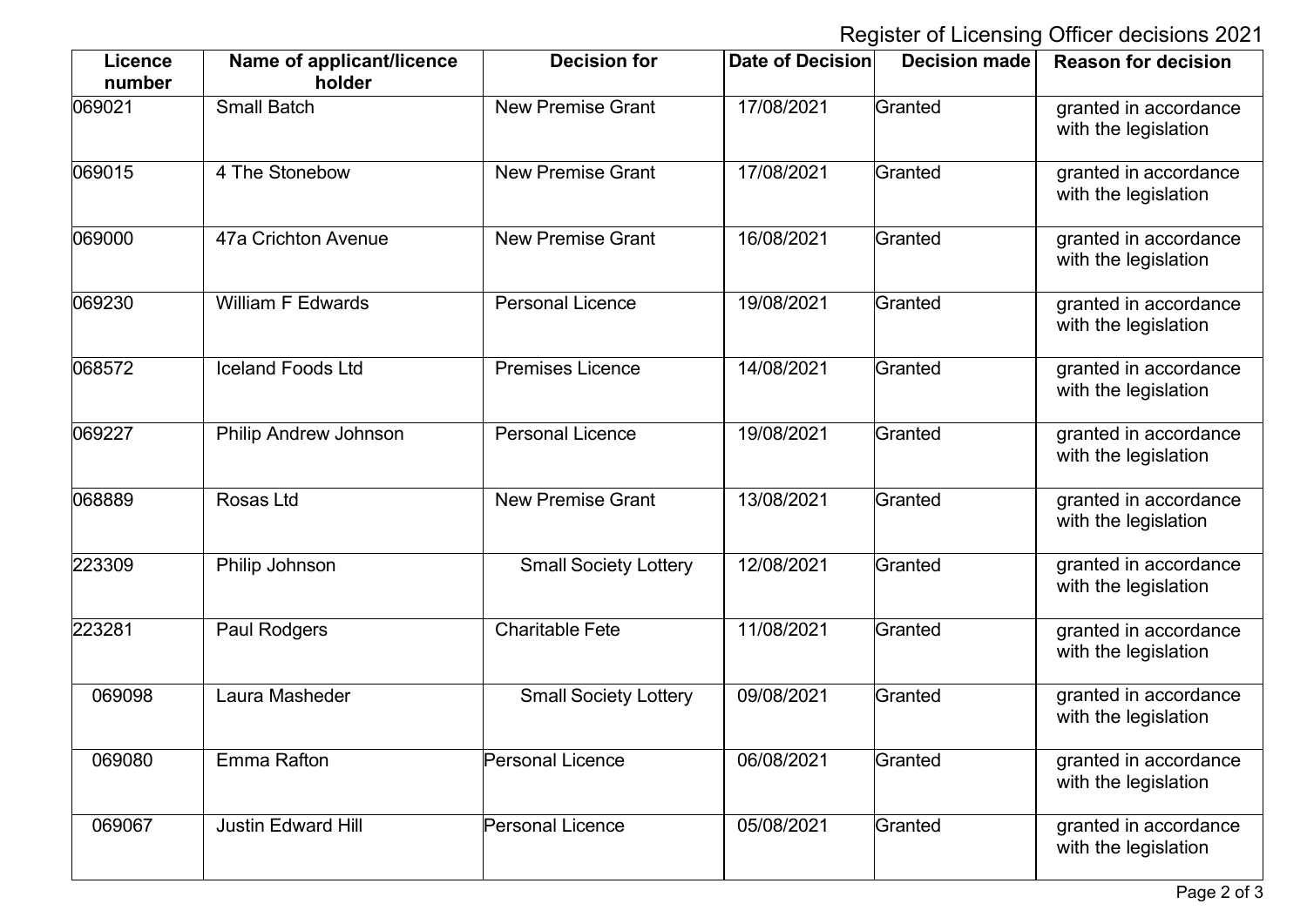Register of Licensing Officer decisions 2021

| <b>Licence</b><br>number | Name of applicant/licence<br>holder | <b>Decision for</b>          | <b>Date of Decision</b> | <b>Decision made</b> | <b>Reason for decision</b>                    |
|--------------------------|-------------------------------------|------------------------------|-------------------------|----------------------|-----------------------------------------------|
| 069021                   | <b>Small Batch</b>                  | <b>New Premise Grant</b>     | 17/08/2021              | Granted              | granted in accordance<br>with the legislation |
| 069015                   | 4 The Stonebow                      | <b>New Premise Grant</b>     | 17/08/2021              | Granted              | granted in accordance<br>with the legislation |
| 069000                   | 47a Crichton Avenue                 | <b>New Premise Grant</b>     | 16/08/2021              | Granted              | granted in accordance<br>with the legislation |
| 069230                   | William F Edwards                   | <b>Personal Licence</b>      | 19/08/2021              | Granted              | granted in accordance<br>with the legislation |
| 068572                   | <b>Iceland Foods Ltd</b>            | <b>Premises Licence</b>      | 14/08/2021              | Granted              | granted in accordance<br>with the legislation |
| 069227                   | <b>Philip Andrew Johnson</b>        | <b>Personal Licence</b>      | 19/08/2021              | Granted              | granted in accordance<br>with the legislation |
| 068889                   | Rosas Ltd                           | <b>New Premise Grant</b>     | 13/08/2021              | Granted              | granted in accordance<br>with the legislation |
| 223309                   | Philip Johnson                      | <b>Small Society Lottery</b> | 12/08/2021              | Granted              | granted in accordance<br>with the legislation |
| 223281                   | Paul Rodgers                        | <b>Charitable Fete</b>       | 11/08/2021              | Granted              | granted in accordance<br>with the legislation |
| 069098                   | Laura Masheder                      | <b>Small Society Lottery</b> | 09/08/2021              | Granted              | granted in accordance<br>with the legislation |
| 069080                   | <b>Emma Rafton</b>                  | <b>Personal Licence</b>      | 06/08/2021              | Granted              | granted in accordance<br>with the legislation |
| 069067                   | <b>Justin Edward Hill</b>           | <b>Personal Licence</b>      | 05/08/2021              | Granted              | granted in accordance<br>with the legislation |